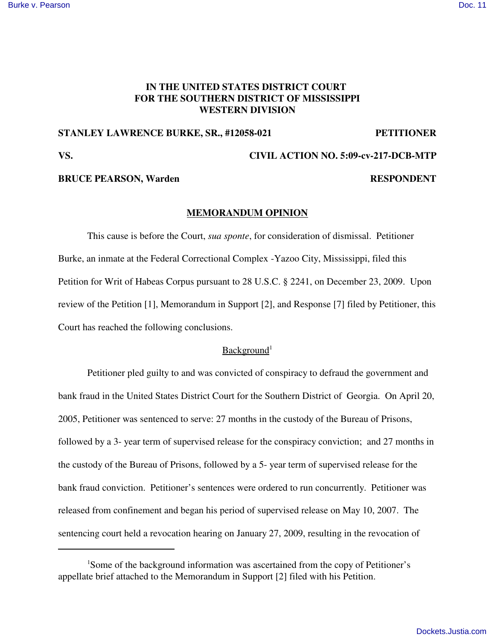# **IN THE UNITED STATES DISTRICT COURT FOR THE SOUTHERN DISTRICT OF MISSISSIPPI WESTERN DIVISION**

## **STANLEY LAWRENCE BURKE, SR., #12058-021 PETITIONER**

#### **VS. CIVIL ACTION NO. 5:09-cv-217-DCB-MTP**

# **BRUCE PEARSON, Warden RESPONDENT**

### **MEMORANDUM OPINION**

This cause is before the Court, *sua sponte*, for consideration of dismissal. Petitioner Burke, an inmate at the Federal Correctional Complex -Yazoo City, Mississippi, filed this Petition for Writ of Habeas Corpus pursuant to 28 U.S.C. § 2241, on December 23, 2009. Upon review of the Petition [1], Memorandum in Support [2], and Response [7] filed by Petitioner, this Court has reached the following conclusions.

## Background<sup>1</sup>

Petitioner pled guilty to and was convicted of conspiracy to defraud the government and bank fraud in the United States District Court for the Southern District of Georgia. On April 20, 2005, Petitioner was sentenced to serve: 27 months in the custody of the Bureau of Prisons, followed by a 3- year term of supervised release for the conspiracy conviction; and 27 months in the custody of the Bureau of Prisons, followed by a 5- year term of supervised release for the bank fraud conviction. Petitioner's sentences were ordered to run concurrently. Petitioner was released from confinement and began his period of supervised release on May 10, 2007. The sentencing court held a revocation hearing on January 27, 2009, resulting in the revocation of

<sup>&</sup>lt;sup>1</sup>Some of the background information was ascertained from the copy of Petitioner's appellate brief attached to the Memorandum in Support [2] filed with his Petition.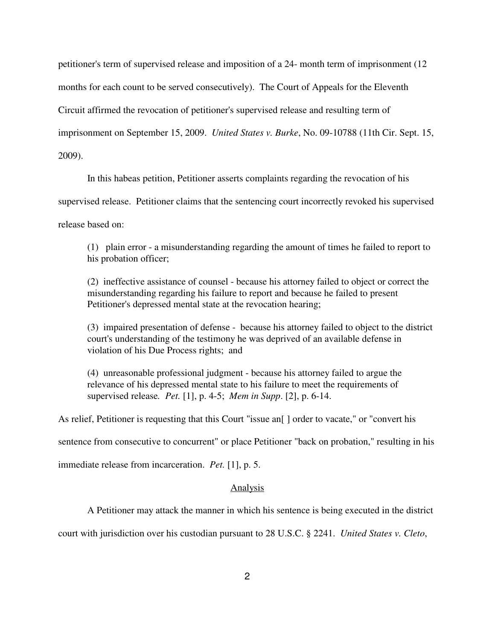petitioner's term of supervised release and imposition of a 24- month term of imprisonment (12 months for each count to be served consecutively). The Court of Appeals for the Eleventh Circuit affirmed the revocation of petitioner's supervised release and resulting term of imprisonment on September 15, 2009. *United States v. Burke*, No. 09-10788 (11th Cir. Sept. 15, 2009).

In this habeas petition, Petitioner asserts complaints regarding the revocation of his

supervised release. Petitioner claims that the sentencing court incorrectly revoked his supervised

release based on:

(1) plain error - a misunderstanding regarding the amount of times he failed to report to his probation officer;

(2) ineffective assistance of counsel - because his attorney failed to object or correct the misunderstanding regarding his failure to report and because he failed to present Petitioner's depressed mental state at the revocation hearing;

(3) impaired presentation of defense - because his attorney failed to object to the district court's understanding of the testimony he was deprived of an available defense in violation of his Due Process rights; and

(4) unreasonable professional judgment - because his attorney failed to argue the relevance of his depressed mental state to his failure to meet the requirements of supervised release*. Pet.* [1], p. 4-5; *Mem in Supp*. [2], p. 6-14.

As relief, Petitioner is requesting that this Court "issue an<sup>[]</sup> order to vacate," or "convert his

sentence from consecutive to concurrent" or place Petitioner "back on probation," resulting in his

immediate release from incarceration. *Pet.* [1], p. 5.

#### Analysis

A Petitioner may attack the manner in which his sentence is being executed in the district

court with jurisdiction over his custodian pursuant to 28 U.S.C. § 2241. *United States v. Cleto*,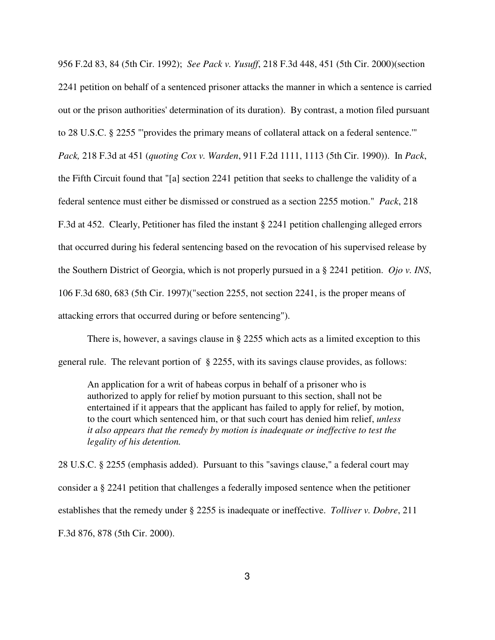956 F.2d 83, 84 (5th Cir. 1992); *See Pack v. Yusuff*, 218 F.3d 448, 451 (5th Cir. 2000)(section 2241 petition on behalf of a sentenced prisoner attacks the manner in which a sentence is carried out or the prison authorities'determination of its duration). By contrast, a motion filed pursuant to 28 U.S.C. § 2255 "'provides the primary means of collateral attack on a federal sentence.'" *Pack,* 218 F.3d at 451 (*quoting Cox v. Warden*, 911 F.2d 1111, 1113 (5th Cir. 1990)). In *Pack*, the Fifth Circuit found that "[a] section 2241 petition that seeks to challenge the validity of a federal sentence must either be dismissed or construed as a section 2255 motion." *Pack*, 218 F.3d at 452. Clearly, Petitioner has filed the instant § 2241 petition challenging alleged errors that occurred during his federal sentencing based on the revocation of his supervised release by the Southern District of Georgia, which is not properly pursued in a § 2241 petition. *Ojo v. INS*, 106 F.3d 680, 683 (5th Cir. 1997)("section 2255, not section 2241, is the proper means of attacking errors that occurred during or before sentencing").

There is, however, a savings clause in § 2255 which acts as a limited exception to this general rule. The relevant portion of § 2255, with its savings clause provides, as follows:

An application for a writ of habeas corpus in behalf of a prisoner who is authorized to apply for relief by motion pursuant to this section, shall not be entertained if it appears that the applicant has failed to apply for relief, by motion, to the court which sentenced him, or that such court has denied him relief, *unless it also appears that the remedy by motion is inadequate or ineffective to test the legality of his detention.*

28 U.S.C. § 2255 (emphasis added). Pursuant to this "savings clause," a federal court may consider a § 2241 petition that challenges a federally imposed sentence when the petitioner establishes that the remedy under § 2255 is inadequate or ineffective. *Tolliver v. Dobre*, 211 F.3d 876, 878 (5th Cir. 2000).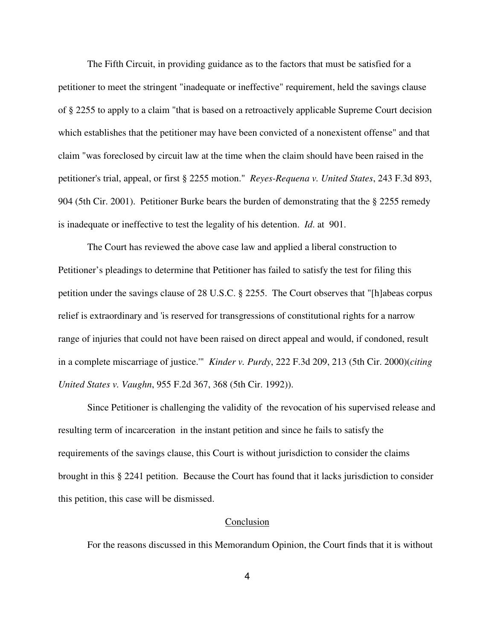The Fifth Circuit, in providing guidance as to the factors that must be satisfied for a petitioner to meet the stringent "inadequate or ineffective" requirement, held the savings clause of § 2255 to apply to a claim "that is based on a retroactively applicable Supreme Court decision which establishes that the petitioner may have been convicted of a nonexistent offense" and that claim "was foreclosed by circuit law at the time when the claim should have been raised in the petitioner's trial, appeal, or first § 2255 motion." *Reyes-Requena v. United States*, 243 F.3d 893, 904 (5th Cir. 2001). Petitioner Burke bears the burden of demonstrating that the § 2255 remedy is inadequate or ineffective to test the legality of his detention. *Id*. at 901.

The Court has reviewed the above case law and applied a liberal construction to Petitioner's pleadings to determine that Petitioner has failed to satisfy the test for filing this petition under the savings clause of 28 U.S.C. § 2255. The Court observes that "[h]abeas corpus relief is extraordinary and 'is reserved for transgressions of constitutional rights for a narrow range of injuries that could not have been raised on direct appeal and would, if condoned, result in a complete miscarriage of justice.'" *Kinder v. Purdy*, 222 F.3d 209, 213 (5th Cir. 2000)(*citing United States v. Vaughn*, 955 F.2d 367, 368 (5th Cir. 1992)).

Since Petitioner is challenging the validity of the revocation of his supervised release and resulting term of incarceration in the instant petition and since he fails to satisfy the requirements of the savings clause, this Court is without jurisdiction to consider the claims brought in this § 2241 petition. Because the Court has found that it lacks jurisdiction to consider this petition, this case will be dismissed.

### Conclusion

For the reasons discussed in this Memorandum Opinion, the Court finds that it is without